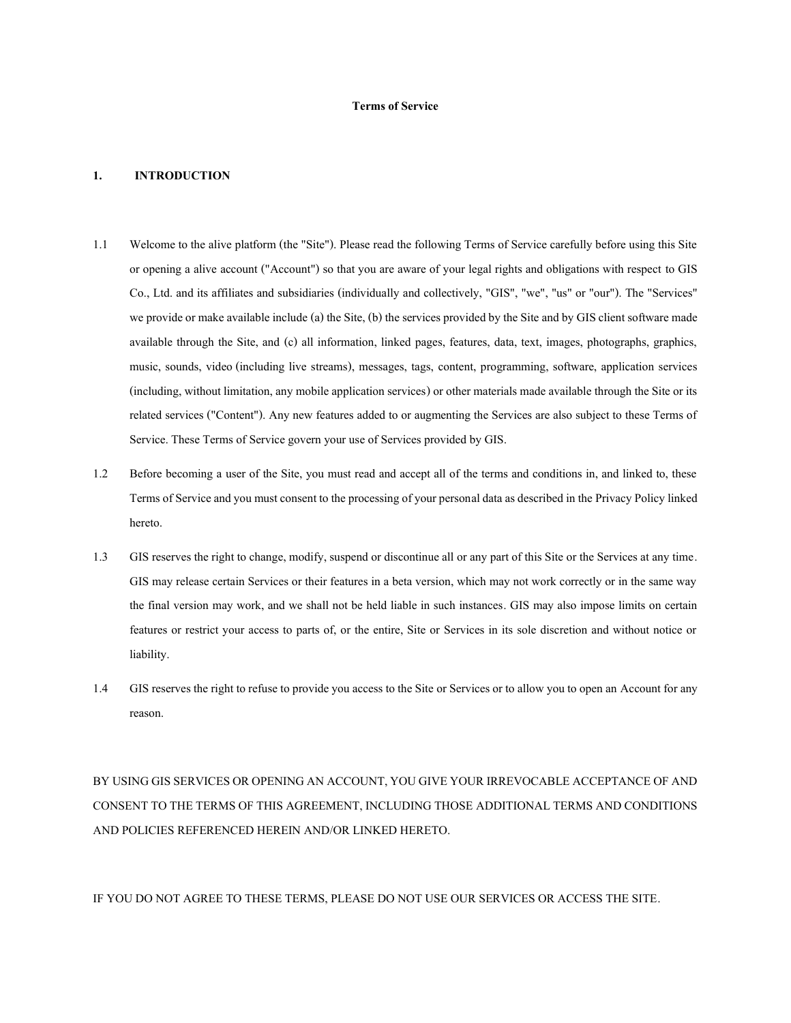### **Terms of Service**

#### **1. INTRODUCTION**

- 1.1 Welcome to the alive platform (the "Site"). Please read the following Terms of Service carefully before using this Site or opening a alive account ("Account") so that you are aware of your legal rights and obligations with respect to GIS Co., Ltd. and its affiliates and subsidiaries (individually and collectively, "GIS", "we", "us" or "our"). The "Services" we provide or make available include (a) the Site, (b) the services provided by the Site and by GIS client software made available through the Site, and (c) all information, linked pages, features, data, text, images, photographs, graphics, music, sounds, video (including live streams), messages, tags, content, programming, software, application services (including, without limitation, any mobile application services) or other materials made available through the Site or its related services ("Content"). Any new features added to or augmenting the Services are also subject to these Terms of Service. These Terms of Service govern your use of Services provided by GIS.
- 1.2 Before becoming a user of the Site, you must read and accept all of the terms and conditions in, and linked to, these Terms of Service and you must consent to the processing of your personal data as described in the Privacy Policy linked hereto.
- 1.3 GISreserves the right to change, modify, suspend or discontinue all or any part of this Site or the Services at any time. GIS may release certain Services or their features in a beta version, which may not work correctly or in the same way the final version may work, and we shall not be held liable in such instances. GIS may also impose limits on certain features or restrict your access to parts of, or the entire, Site or Services in its sole discretion and without notice or liability.
- 1.4 GISreserves the right to refuse to provide you access to the Site or Services or to allow you to open an Account for any reason.

BY USING GISSERVICES OR OPENING AN ACCOUNT, YOU GIVE YOUR IRREVOCABLE ACCEPTANCE OF AND CONSENT TO THE TERMS OF THIS AGREEMENT, INCLUDING THOSE ADDITIONAL TERMS AND CONDITIONS AND POLICIES REFERENCED HEREIN AND/OR LINKED HERETO.

IF YOU DO NOT AGREE TO THESE TERMS, PLEASE DO NOT USE OUR SERVICES OR ACCESS THE SITE.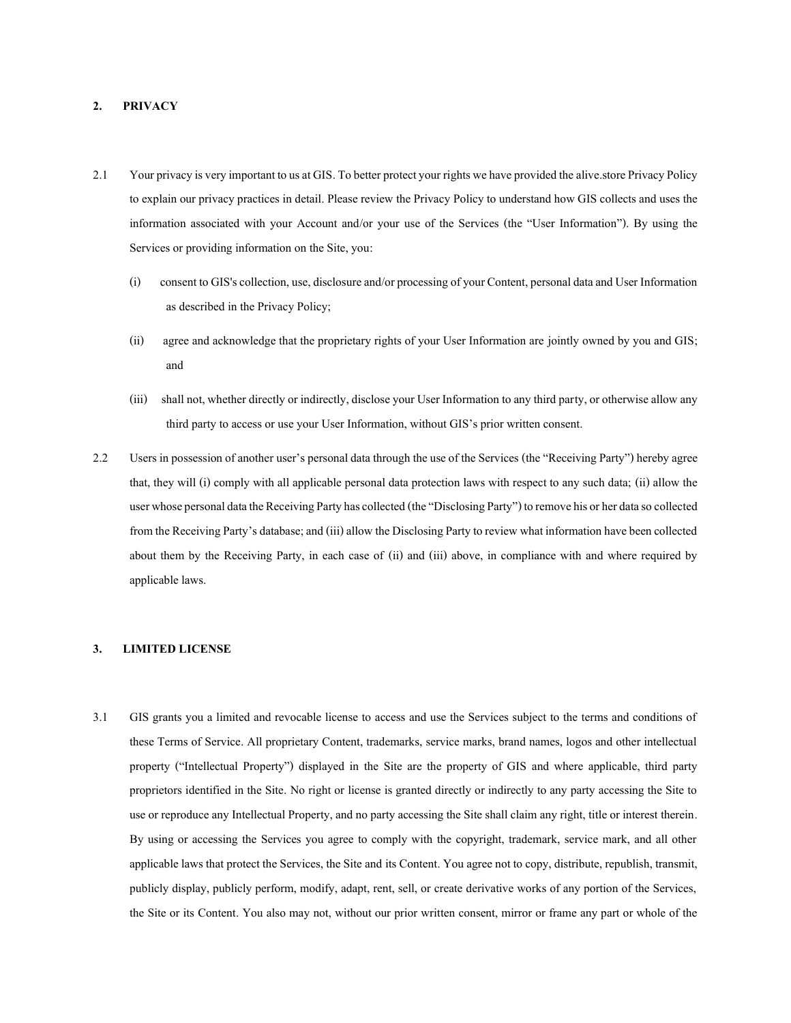## **2. PRIVACY**

- 2.1 Your privacy is very important to us at GIS. To better protect your rights we have provided the alive.storePrivacy Policy to explain our privacy practices in detail. Please review the Privacy Policy to understand how GIS collects and uses the information associated with your Account and/or your use of the Services (the "User Information"). By using the Services or providing information on the Site, you:
	- (i) consent to GIS's collection, use, disclosure and/or processing of your Content, personal data and User Information as described in the Privacy Policy;
	- (ii) agree and acknowledge that the proprietary rights of your User Information are jointly owned by you and GIS; and
	- (iii) shall not, whether directly or indirectly, disclose your User Information to any third party, or otherwise allow any third party to access or use your User Information, without GIS's prior written consent.
- 2.2 Users in possession of another user's personal data through the use of the Services (the "Receiving Party") hereby agree that, they will (i) comply with all applicable personal data protection laws with respect to any such data; (ii) allow the user whose personal data the Receiving Party has collected (the "Disclosing Party") to remove his or her data so collected from the Receiving Party's database; and (iii) allow the Disclosing Party to review what information have been collected about them by the Receiving Party, in each case of (ii) and (iii) above, in compliance with and where required by applicable laws.

## **3. LIMITED LICENSE**

3.1 GIS grants you a limited and revocable license to access and use the Services subject to the terms and conditions of these Terms of Service. All proprietary Content, trademarks, service marks, brand names, logos and other intellectual property ("Intellectual Property") displayed in the Site are the property of GIS and where applicable, third party proprietors identified in the Site. No right or license is granted directly or indirectly to any party accessing the Site to use or reproduce any Intellectual Property, and no party accessing the Site shall claim any right, title or interest therein. By using or accessing the Services you agree to comply with the copyright, trademark, service mark, and all other applicable laws that protect the Services, the Site and its Content. You agree not to copy, distribute, republish, transmit, publicly display, publicly perform, modify, adapt, rent, sell, or create derivative works of any portion of the Services, the Site or its Content. You also may not, without our prior written consent, mirror or frame any part or whole of the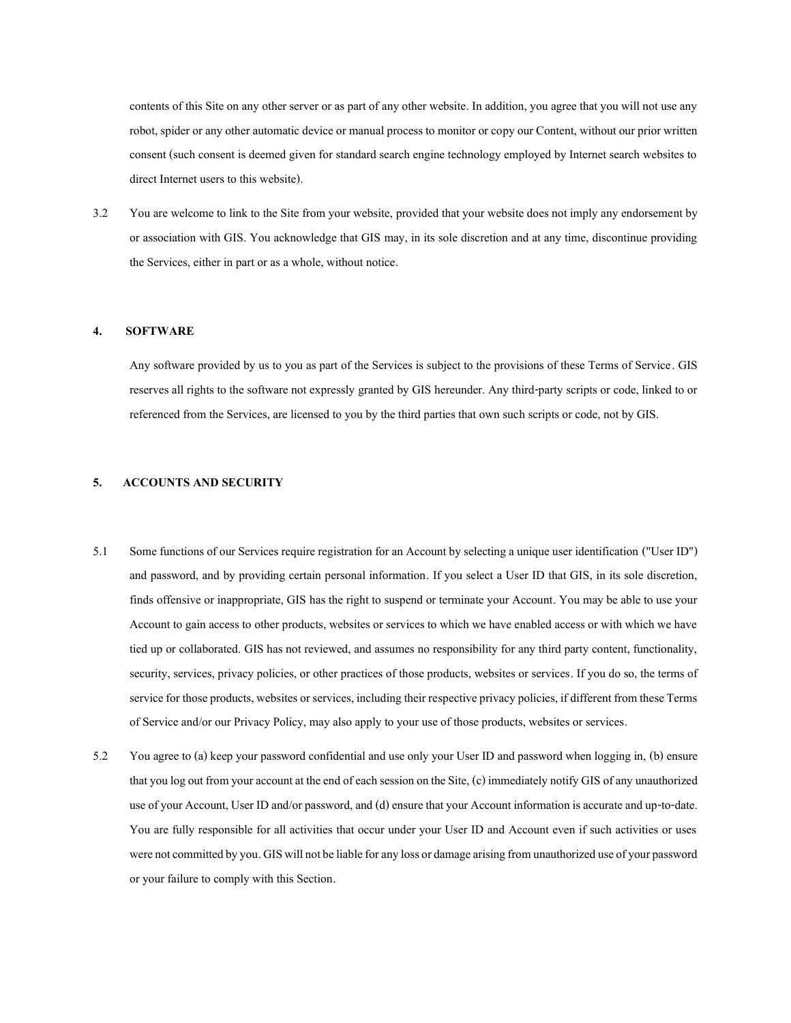contents of this Site on any other server or as part of any other website. In addition, you agree that you will not use any robot, spider or any other automatic device or manual process to monitor or copy our Content, without our prior written consent (such consent is deemed given for standard search engine technology employed by Internet search websites to direct Internet users to this website).

3.2 You are welcome to link to the Site from your website, provided that your website does not imply any endorsement by or association with GIS. You acknowledge that GIS may, in its sole discretion and at any time, discontinue providing the Services, either in part or as a whole, without notice.

#### **4. SOFTWARE**

Any software provided by us to you as part of the Services is subject to the provisions of these Terms of Service. GIS reserves all rights to the software not expressly granted by GIS hereunder. Any third-party scripts or code, linked to or referenced from the Services, are licensed to you by the third parties that own such scripts or code, not by GIS.

## **5. ACCOUNTS AND SECURITY**

- 5.1 Some functions of our Services require registration for an Account by selecting a unique user identification ("User ID") and password, and by providing certain personal information. If you select a User ID that GIS, in its sole discretion, finds offensive or inappropriate, GIS has the right to suspend or terminate your Account. You may be able to use your Account to gain access to other products, websites or services to which we have enabled access or with which we have tied up or collaborated. GIShas not reviewed, and assumes no responsibility for any third party content, functionality, security, services, privacy policies, or other practices of those products, websites or services. If you do so, the terms of service for those products, websites or services, including their respective privacy policies, if different from these Terms of Service and/or our Privacy Policy, may also apply to your use of those products, websites or services.
- 5.2 You agree to (a) keep your password confidential and use only your User ID and password when logging in, (b) ensure that you log out from your account at the end of each session on the Site, (c) immediately notify GISof any unauthorized use of your Account, User ID and/or password, and (d) ensure that your Account information is accurate and up-to-date. You are fully responsible for all activities that occur under your User ID and Account even if such activities or uses were not committed by you. GISwill not be liable forany loss or damage arising from unauthorizeduse of your password or your failure to comply with this Section.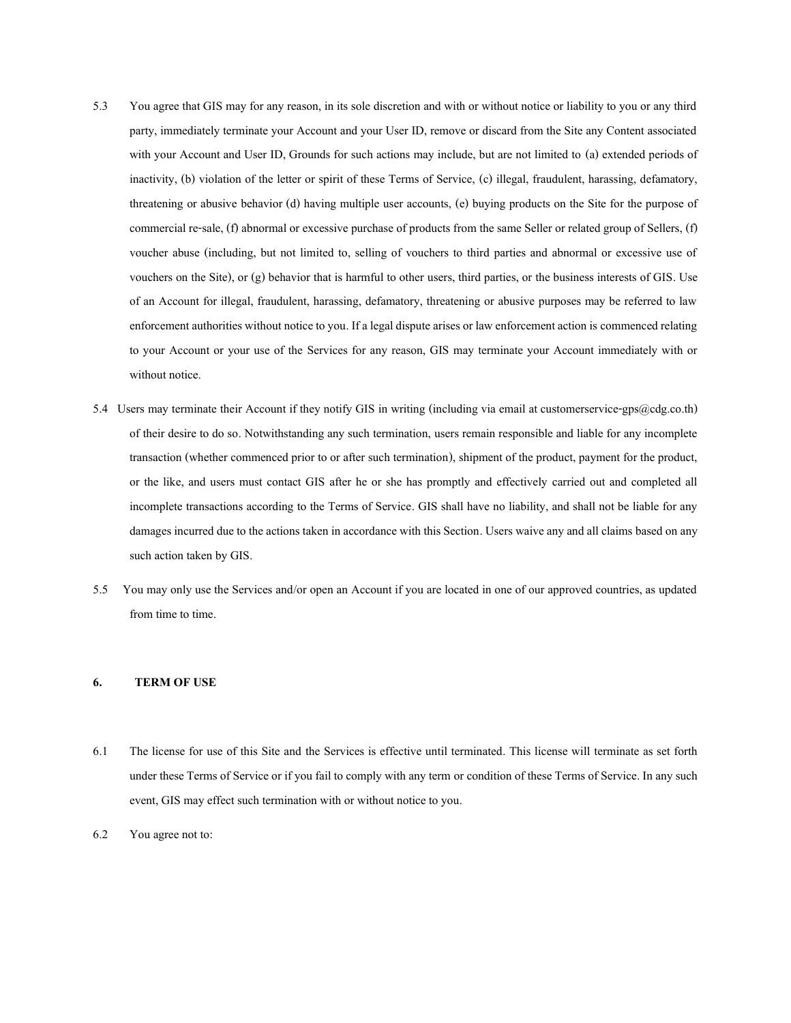- 5.3 You agree that GIS may for any reason, in its sole discretion and with or without notice or liability to you or any third party, immediately terminate your Account and your User ID, remove or discard from the Site any Content associated with your Account and User ID, Grounds for such actions may include, but are not limited to (a) extended periods of inactivity, (b) violation of the letter or spirit of these Terms of Service, (c) illegal, fraudulent, harassing, defamatory, threatening or abusive behavior (d) having multiple user accounts, (e) buying products on the Site for the purpose of commercial re-sale, (f) abnormal or excessive purchase of products from the same Seller or related group of Sellers, (f) voucher abuse (including, but not limited to, selling of vouchers to third parties and abnormal or excessive use of vouchers on the Site), or (g) behavior that is harmful to other users, third parties, or the business interests of GIS. Use of an Account for illegal, fraudulent, harassing, defamatory, threatening or abusive purposes may be referred to law enforcement authorities without notice to you. If a legal dispute arises or law enforcement action is commenced relating to your Account or your use of the Services for any reason, GIS may terminate your Account immediately with or without notice.
- 5.4 Users may terminate their Account if they notify GIS in writing (including via email at customerservice-gps@cdg.co.th) of their desire to do so. Notwithstanding any such termination, users remain responsible and liable for any incomplete transaction (whether commenced prior to or after such termination), shipment of the product, payment for the product, or the like, and users must contact GIS after he or she has promptly and effectively carried out and completed all incomplete transactions according to the Terms of Service. GIS shall have no liability, and shall not be liable for any damages incurred due to the actions taken in accordance with this Section. Users waive any and all claims based on any such action taken by GIS.
- 5.5 You may only use the Services and/or open an Account if you are located in one of our approved countries, as updated from time to time.

# **6. TERM OF USE**

- 6.1 The license for use of this Site and the Services is effective until terminated. This license will terminate as set forth under these Terms of Service or if you fail to comply with any term or condition of these Terms of Service. In any such event, GIS may effect such termination with or without notice to you.
- 6.2 You agree not to: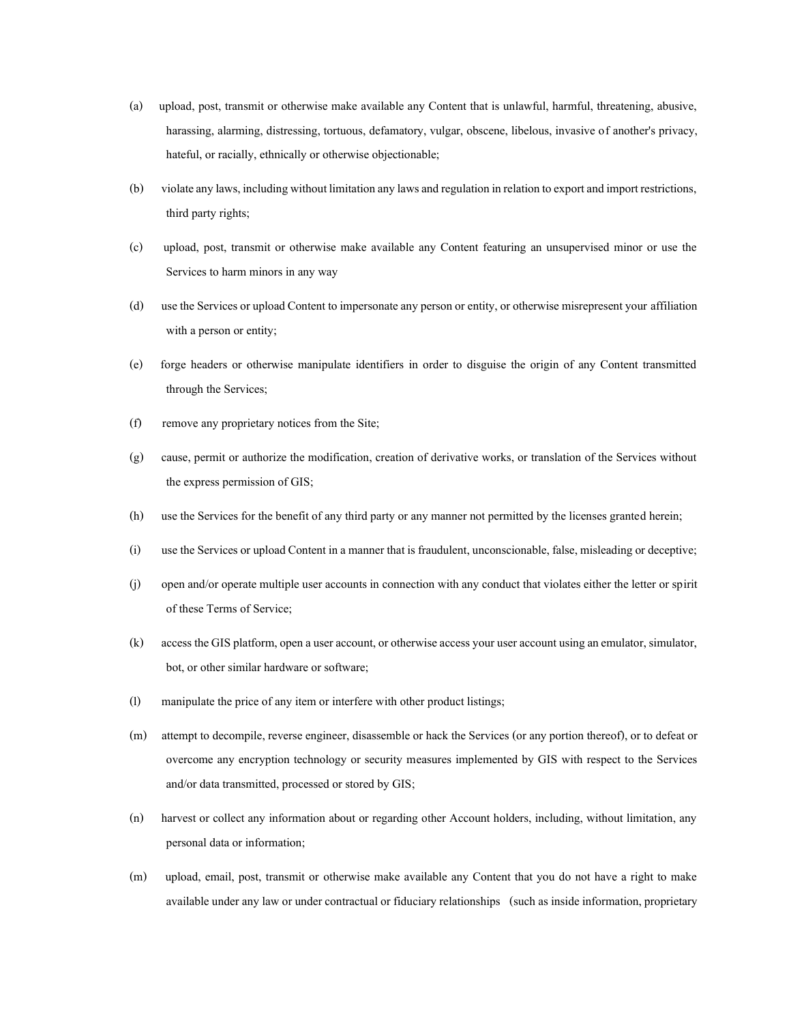- (a) upload, post, transmit or otherwise make available any Content that is unlawful, harmful, threatening, abusive, harassing, alarming, distressing, tortuous, defamatory, vulgar, obscene, libelous, invasive of another's privacy, hateful, or racially, ethnically or otherwise objectionable;
- (b) violate any laws, including without limitation any laws and regulation in relation to export and import restrictions, third party rights;
- (c) upload, post, transmit or otherwise make available any Content featuring an unsupervised minor or use the Services to harm minors in any way
- (d) use the Services or upload Content to impersonate any person or entity, or otherwise misrepresent your affiliation with a person or entity;
- (e) forge headers or otherwise manipulate identifiers in order to disguise the origin of any Content transmitted through the Services;
- (f) remove any proprietary notices from the Site;
- (g) cause, permit or authorize the modification, creation of derivative works, or translation of the Services without the express permission of GIS;
- (h) use the Services for the benefit of any third party or any manner not permitted by the licenses granted herein;
- (i) use the Services or upload Content in a manner that is fraudulent, unconscionable, false, misleading or deceptive;
- (j) open and/or operate multiple user accounts in connection with any conduct that violates either the letter or spirit of these Terms of Service;
- (k) access the GISplatform, open a user account, or otherwise access your user account using an emulator, simulator, bot, or other similar hardware or software;
- (l) manipulate the price of any item or interfere with other product listings;
- (m) attempt to decompile, reverse engineer, disassemble or hack the Services (or any portion thereof), or to defeat or overcome any encryption technology or security measures implemented by GIS with respect to the Services and/or data transmitted, processed or stored by GIS;
- (n) harvest or collect any information about or regarding other Account holders, including, without limitation, any personal data or information;
- (m) upload, email, post, transmit or otherwise make available any Content that you do not have a right to make available under any law or under contractual or fiduciary relationships (such as inside information, proprietary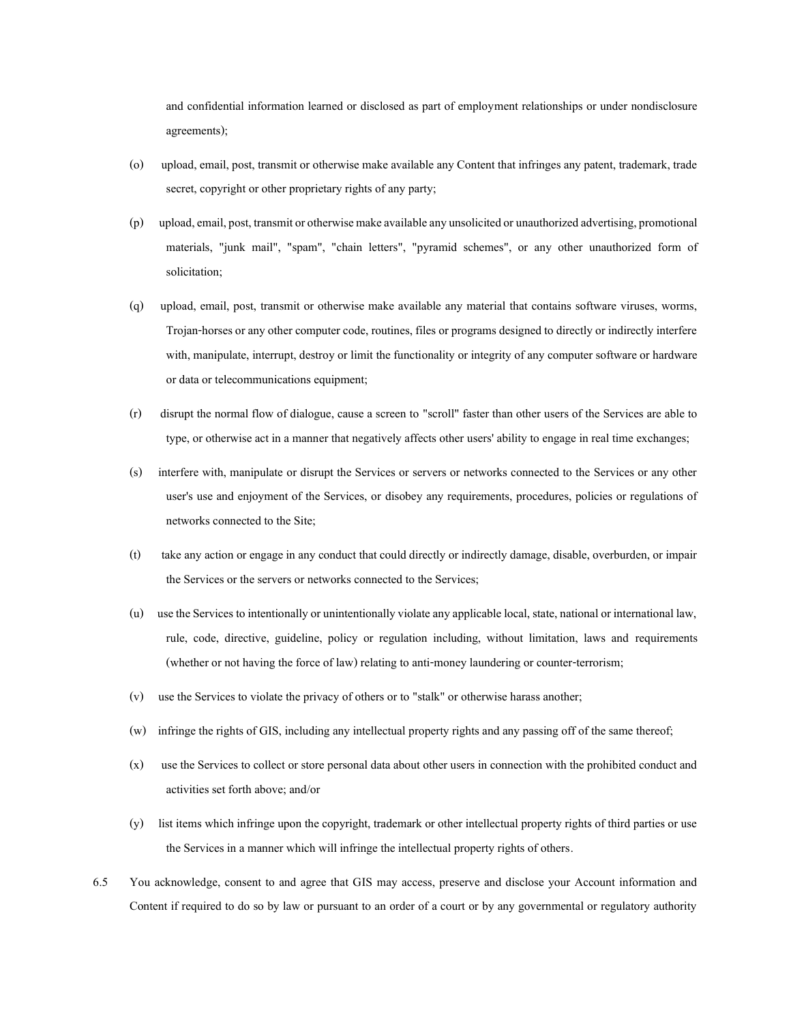and confidential information learned or disclosed as part of employment relationships or under nondisclosure agreements);

- (o) upload, email, post, transmit or otherwise make available any Content that infringes any patent, trademark, trade secret, copyright or other proprietary rights of any party;
- (p) upload, email, post, transmit or otherwise make available any unsolicited or unauthorizedadvertising, promotional materials, "junk mail", "spam", "chain letters", "pyramid schemes", or any other unauthorized form of solicitation;
- (q) upload, email, post, transmit or otherwise make available any material that contains software viruses, worms, Trojan-horses or any other computer code, routines, files or programs designed to directly or indirectly interfere with, manipulate, interrupt, destroy or limit the functionality or integrity of any computer software or hardware or data or telecommunications equipment;
- (r) disrupt the normal flow of dialogue, cause a screen to "scroll" faster than other users of the Services are able to type, or otherwise act in a manner that negatively affects other users' ability to engage in real time exchanges;
- (s) interfere with, manipulate or disrupt the Services or servers or networks connected to the Services or any other user's use and enjoyment of the Services, or disobey any requirements, procedures, policies or regulations of networks connected to the Site;
- (t) take any action or engage in any conduct that could directly or indirectly damage, disable, overburden, or impair the Services or the servers or networks connected to the Services;
- (u) use the Services to intentionally or unintentionally violate any applicable local, state, national or international law, rule, code, directive, guideline, policy or regulation including, without limitation, laws and requirements (whether or not having the force of law) relating to anti-money laundering or counter-terrorism;
- (v) use the Services to violate the privacy of others or to "stalk" or otherwise harass another;
- (w) infringe the rights of GIS, including any intellectual property rights and any passing off of the same thereof;
- (x) use the Services to collect or store personal data about other users in connection with the prohibited conduct and activities set forth above; and/or
- (y) list items which infringe upon the copyright, trademark or other intellectual property rights of third parties or use the Services in a manner which will infringe the intellectual property rights of others.
- 6.5 You acknowledge, consent to and agree that GIS may access, preserve and disclose your Account information and Content if required to do so by law or pursuant to an order of a court or by any governmental or regulatory authority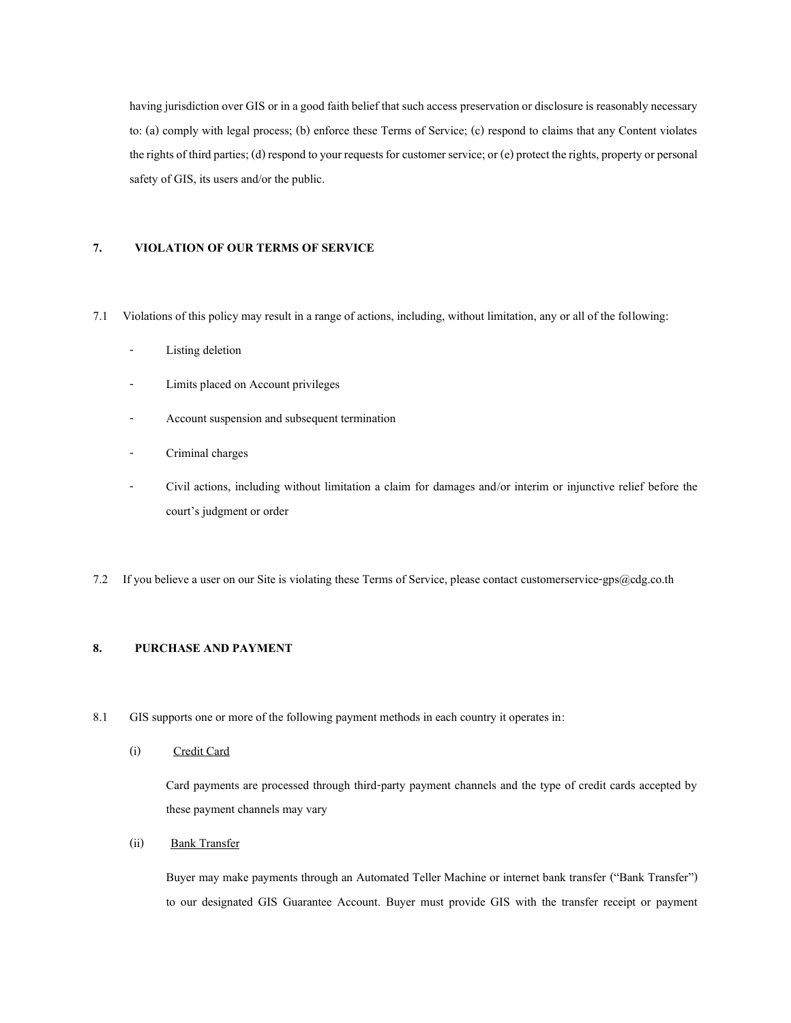having jurisdiction over GIS or in a good faith belief that such access preservation or disclosure is reasonably necessary to: (a) comply with legal process; (b) enforce these Terms of Service; (c) respond to claims that any Content violates the rights of third parties; (d) respond to your requests for customer service; or (e) protect the rights, property or personal safety of GIS, its users and/or the public.

# **7. VIOLATION OF OUR TERMS OF SERVICE**

- 7.1 Violations of this policy may result in a range of actions, including, without limitation, any or all of the following:
	- Listing deletion
	- Limits placed on Account privileges
	- Account suspension and subsequent termination
	- Criminal charges
	- Civil actions, including without limitation a claim for damages and/or interim or injunctive relief before the court's judgment or order
- 7.2 If you believe a user on our Site is violating these Terms of Service, please contact customerservice-gps@cdg.co.th

# **8. PURCHASE AND PAYMENT**

- 8.1 GISsupports one or more of the following payment methods in each country it operates in:
	- (i) Credit Card

Card payments are processed through third-party payment channels and the type of credit cards accepted by these payment channels may vary

(ii) Bank Transfer

Buyer may make payments through an Automated Teller Machine or internet bank transfer ("Bank Transfer") to our designated GIS Guarantee Account. Buyer must provide GIS with the transfer receipt or payment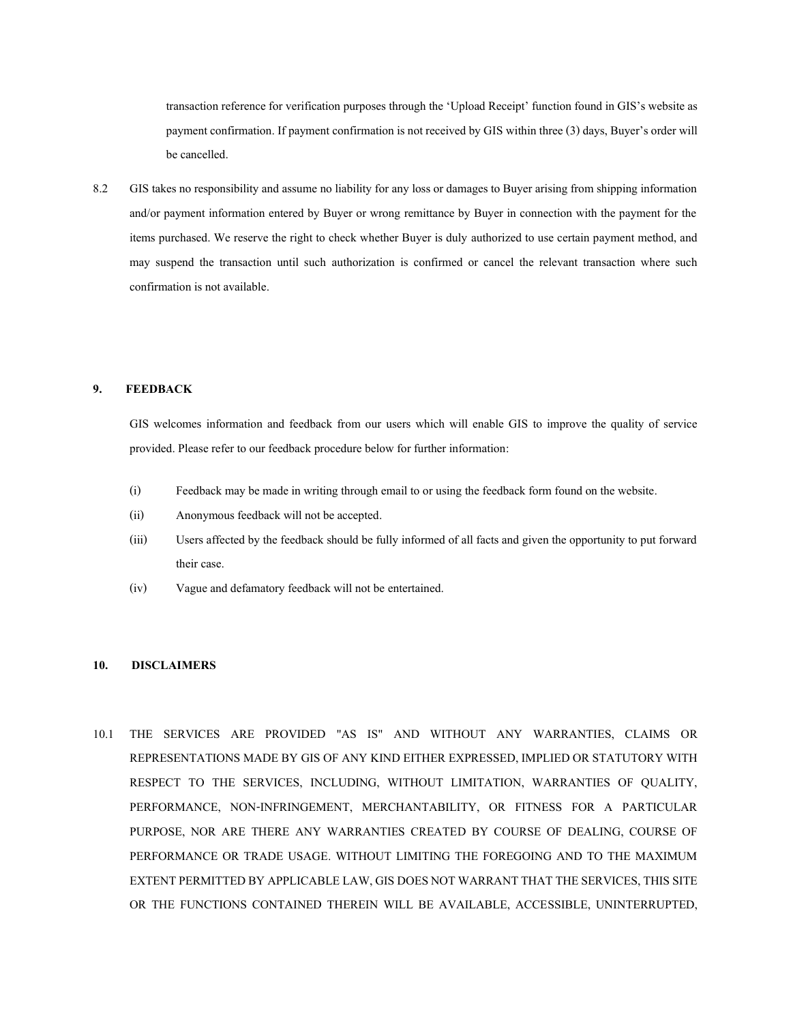transaction reference for verification purposes through the 'Upload Receipt' function found in GIS's website as payment confirmation. If payment confirmation is not received by GIS within three (3) days, Buyer's order will be cancelled.

8.2 GIStakes no responsibility and assume no liability for any loss or damages to Buyer arising from shipping information and/or payment information entered by Buyer or wrong remittance by Buyer in connection with the payment for the items purchased. We reserve the right to check whether Buyer is duly authorized to use certain payment method, and may suspend the transaction until such authorization is confirmed or cancel the relevant transaction where such confirmation is not available.

## **9. FEEDBACK**

GIS welcomes information and feedback from our users which will enable GIS to improve the quality of service provided. Please refer to our feedback procedure below for further information:

- (i) Feedback may be made in writing through email to or using the feedback form found on the website.
- (ii) Anonymous feedback will not be accepted.
- (iii) Users affected by the feedback should be fully informed of all facts and given the opportunity to put forward their case.
- (iv) Vague and defamatory feedback will not be entertained.

## **10. DISCLAIMERS**

10.1 THE SERVICES ARE PROVIDED "AS IS" AND WITHOUT ANY WARRANTIES, CLAIMS OR REPRESENTATIONS MADE BY GIS OF ANY KIND EITHER EXPRESSED, IMPLIED OR STATUTORY WITH RESPECT TO THE SERVICES, INCLUDING, WITHOUT LIMITATION, WARRANTIES OF QUALITY, PERFORMANCE, NON-INFRINGEMENT, MERCHANTABILITY, OR FITNESS FOR A PARTICULAR PURPOSE, NOR ARE THERE ANY WARRANTIES CREATED BY COURSE OF DEALING, COURSE OF PERFORMANCE OR TRADE USAGE. WITHOUT LIMITING THE FOREGOING AND TO THE MAXIMUM EXTENT PERMITTED BY APPLICABLE LAW, GIS DOES NOT WARRANT THAT THE SERVICES, THIS SITE OR THE FUNCTIONS CONTAINED THEREIN WILL BE AVAILABLE, ACCESSIBLE, UNINTERRUPTED,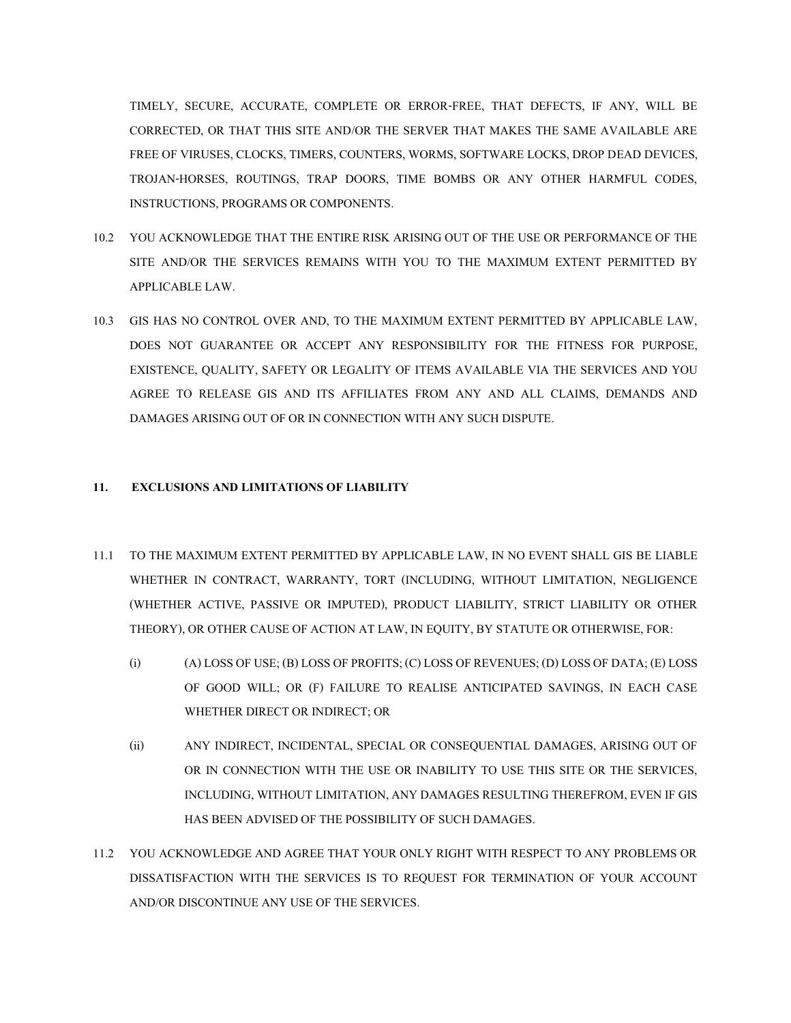TIMELY, SECURE, ACCURATE, COMPLETE OR ERROR-FREE, THAT DEFECTS, IF ANY, WILL BE CORRECTED, OR THAT THIS SITE AND/OR THE SERVER THAT MAKES THE SAME AVAILABLE ARE FREE OF VIRUSES, CLOCKS, TIMERS, COUNTERS, WORMS, SOFTWARE LOCKS, DROP DEAD DEVICES, TROJAN-HORSES, ROUTINGS, TRAP DOORS, TIME BOMBS OR ANY OTHER HARMFUL CODES, INSTRUCTIONS, PROGRAMS OR COMPONENTS.

- 10.2 YOU ACKNOWLEDGE THAT THE ENTIRE RISK ARISING OUT OF THE USE OR PERFORMANCE OF THE SITE AND/OR THE SERVICES REMAINS WITH YOU TO THE MAXIMUM EXTENT PERMITTED BY APPLICABLE LAW.
- 10.3 GIS HAS NO CONTROL OVER AND, TO THE MAXIMUM EXTENT PERMITTED BY APPLICABLE LAW, DOES NOT GUARANTEE OR ACCEPT ANY RESPONSIBILITY FOR THE FITNESS FOR PURPOSE, EXISTENCE, QUALITY, SAFETY OR LEGALITY OF ITEMS AVAILABLE VIA THE SERVICES AND YOU AGREE TO RELEASE GIS AND ITS AFFILIATES FROM ANY AND ALL CLAIMS, DEMANDS AND DAMAGES ARISING OUT OF OR IN CONNECTION WITH ANY SUCH DISPUTE.

# **11. EXCLUSIONS AND LIMITATIONS OF LIABILITY**

- 11.1 TO THE MAXIMUM EXTENT PERMITTED BY APPLICABLE LAW, IN NO EVENT SHALL GIS BE LIABLE WHETHER IN CONTRACT, WARRANTY, TORT (INCLUDING, WITHOUT LIMITATION, NEGLIGENCE (WHETHER ACTIVE, PASSIVE OR IMPUTED), PRODUCT LIABILITY, STRICT LIABILITY OR OTHER THEORY), OR OTHER CAUSE OF ACTION AT LAW, IN EQUITY, BY STATUTE OR OTHERWISE, FOR:
	- (i) (A) LOSS OF USE; (B) LOSS OF PROFITS; (C) LOSS OF REVENUES; (D) LOSS OF DATA; (E) LOSS OF GOOD WILL; OR (F) FAILURE TO REALISE ANTICIPATED SAVINGS, IN EACH CASE WHETHER DIRECT OR INDIRECT; OR
	- (ii) ANY INDIRECT, INCIDENTAL, SPECIAL OR CONSEQUENTIAL DAMAGES, ARISING OUT OF OR IN CONNECTION WITH THE USE OR INABILITY TO USE THIS SITE OR THE SERVICES, INCLUDING, WITHOUT LIMITATION, ANY DAMAGES RESULTING THEREFROM, EVEN IF GIS HAS BEEN ADVISED OF THE POSSIBILITY OF SUCH DAMAGES.
- 11.2 YOU ACKNOWLEDGE AND AGREE THAT YOUR ONLY RIGHT WITH RESPECT TO ANY PROBLEMS OR DISSATISFACTION WITH THE SERVICES IS TO REQUEST FOR TERMINATION OF YOUR ACCOUNT AND/OR DISCONTINUE ANY USE OF THE SERVICES.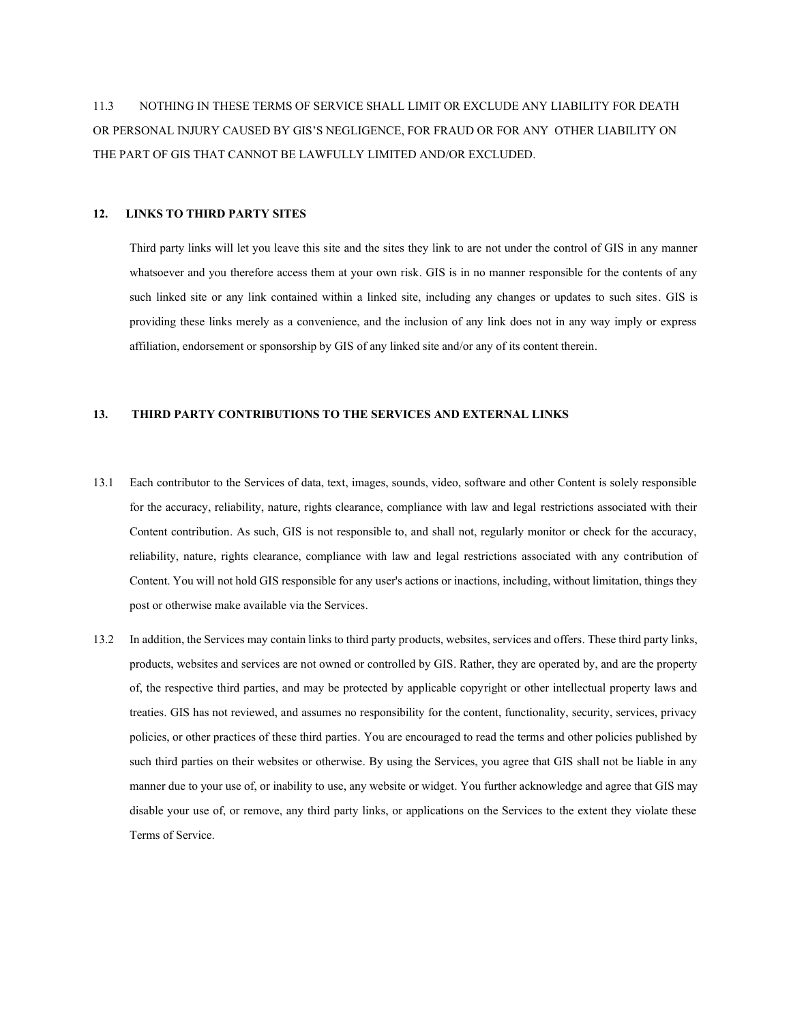11.3 NOTHING IN THESE TERMS OF SERVICE SHALL LIMIT OR EXCLUDE ANY LIABILITY FOR DEATH OR PERSONAL INJURY CAUSED BY GIS'S NEGLIGENCE, FOR FRAUD OR FOR ANY OTHER LIABILITY ON THE PART OF GIS THAT CANNOT BE LAWFULLY LIMITED AND/OR EXCLUDED.

## **12. LINKS TO THIRD PARTY SITES**

Third party links will let you leave this site and the sites they link to are not under the control of GIS in any manner whatsoever and you therefore access them at your own risk. GIS is in no manner responsible for the contents of any such linked site or any link contained within a linked site, including any changes or updates to such sites. GIS is providing these links merely as a convenience, and the inclusion of any link does not in any way imply or express affiliation, endorsement or sponsorship by GIS of any linked site and/or any of its content therein.

# **13. THIRD PARTY CONTRIBUTIONS TO THE SERVICES AND EXTERNAL LINKS**

- 13.1 Each contributor to the Services of data, text, images, sounds, video, software and other Content is solely responsible for the accuracy, reliability, nature, rights clearance, compliance with law and legal restrictions associated with their Content contribution. As such, GIS is not responsible to, and shall not, regularly monitor or check for the accuracy, reliability, nature, rights clearance, compliance with law and legal restrictions associated with any contribution of Content. You will not hold GIS responsible for any user's actions or inactions, including, without limitation, things they post or otherwise make available via the Services.
- 13.2 In addition, the Services may contain links to third party products, websites, services and offers. These third party links, products, websites and services are not owned or controlled by GIS. Rather, they are operated by, and are the property of, the respective third parties, and may be protected by applicable copyright or other intellectual property laws and treaties. GIS has not reviewed, and assumes no responsibility for the content, functionality, security, services, privacy policies, or other practices of these third parties. You are encouraged to read the terms and other policies published by such third parties on their websites or otherwise. By using the Services, you agree that GIS shall not be liable in any manner due to your use of, or inability to use, any website or widget. You further acknowledge and agree that GIS may disable your use of, or remove, any third party links, or applications on the Services to the extent they violate these Terms of Service.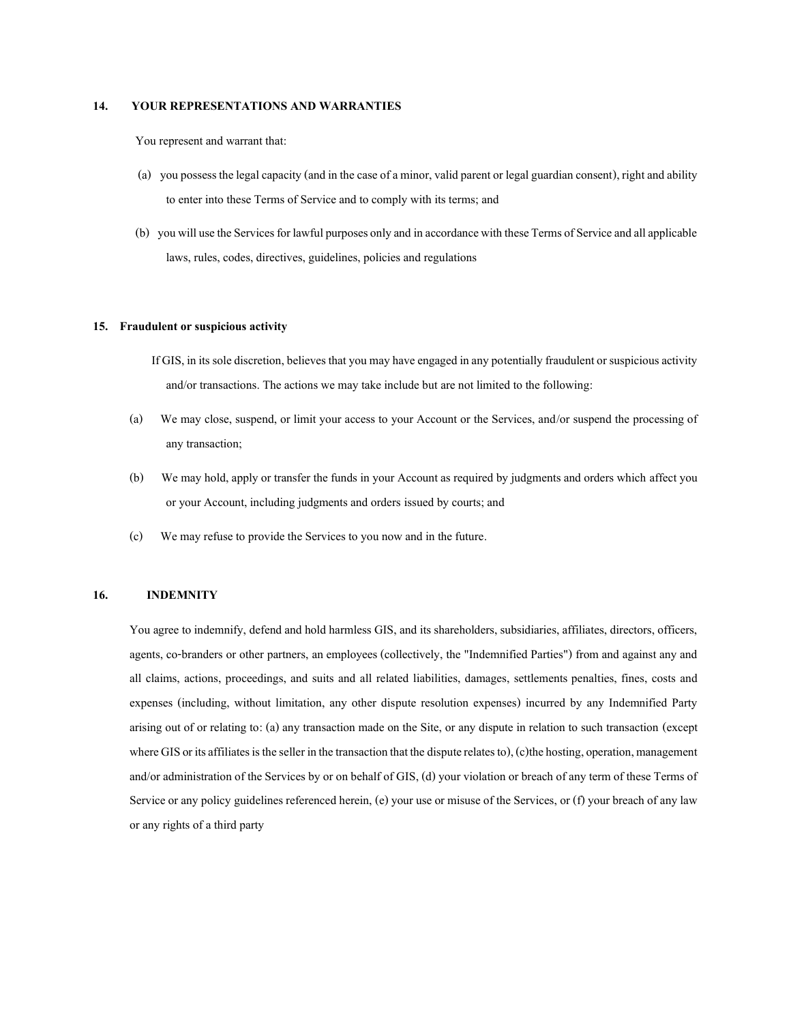# **14. YOUR REPRESENTATIONS AND WARRANTIES**

You represent and warrant that:

- (a) you possess the legal capacity (and in the case of a minor, valid parent or legal guardian consent), right and ability to enter into these Terms of Service and to comply with its terms; and
- (b) you will use the Services for lawful purposes only and in accordance with these Terms of Service and all applicable laws, rules, codes, directives, guidelines, policies and regulations

### **15. Fraudulent or suspicious activity**

- If GIS, in its sole discretion, believes that you may have engaged in any potentially fraudulent or suspicious activity and/or transactions. The actions we may take include but are not limited to the following:
- (a) We may close, suspend, or limit your access to your Account or the Services, and/or suspend the processing of any transaction;
- (b) We may hold, apply or transfer the funds in your Account as required by judgments and orders which affect you or your Account, including judgments and orders issued by courts; and
- (c) We may refuse to provide the Services to you now and in the future.

# **16. INDEMNITY**

You agree to indemnify, defend and hold harmless GIS, and its shareholders, subsidiaries, affiliates, directors, officers, agents, co-branders or other partners, an employees (collectively, the "Indemnified Parties") from and against any and all claims, actions, proceedings, and suits and all related liabilities, damages, settlements penalties, fines, costs and expenses (including, without limitation, any other dispute resolution expenses) incurred by any Indemnified Party arising out of or relating to: (a) any transaction made on the Site, or any dispute in relation to such transaction (except where GIS or its affiliates is the seller in the transaction that the dispute relates to), (c) the hosting, operation, management and/or administration of the Services by or on behalf of GIS, (d) your violation or breach of any term of these Terms of Service or any policy guidelines referenced herein, (e) your use or misuse of the Services, or (f) your breach of any law or any rights of a third party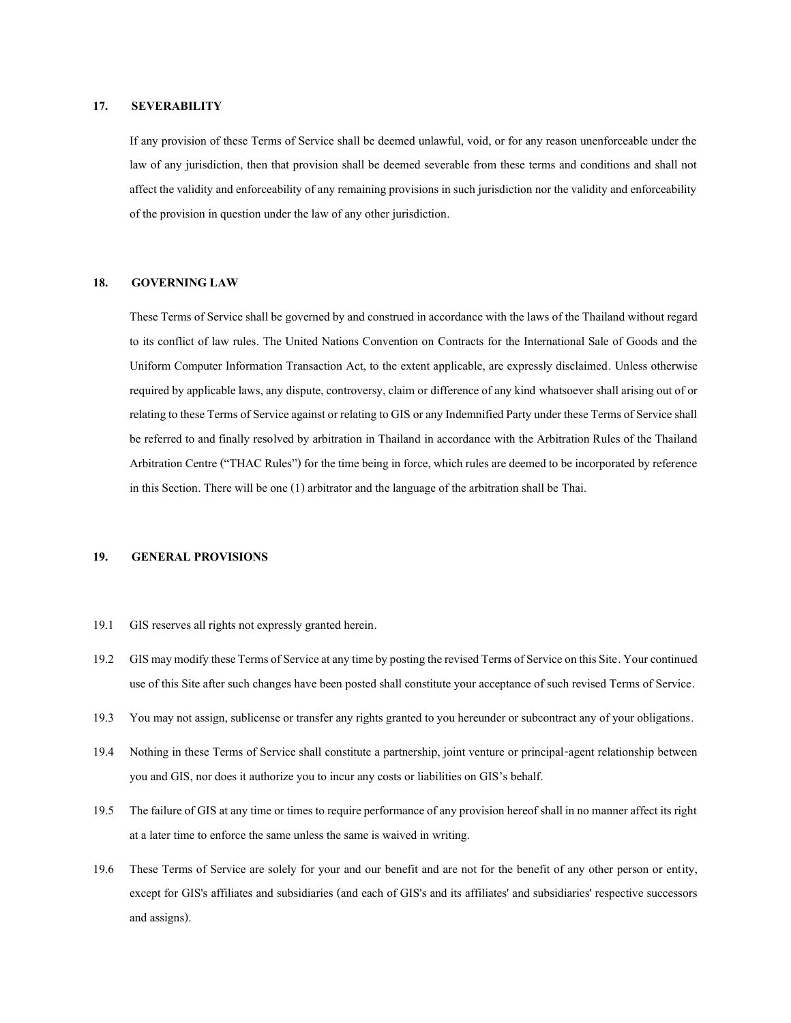### **17. SEVERABILITY**

If any provision of these Terms of Service shall be deemed unlawful, void, or for any reason unenforceable under the law of any jurisdiction, then that provision shall be deemed severable from these terms and conditions and shall not affect the validity and enforceability of any remaining provisions in such jurisdiction nor the validity and enforceability of the provision in question under the law of any other jurisdiction.

### **18. GOVERNING LAW**

These Terms of Service shall be governed by and construed in accordance with the laws of the Thailand without regard to its conflict of law rules. The United Nations Convention on Contracts for the International Sale of Goods and the Uniform Computer Information Transaction Act, to the extent applicable, are expressly disclaimed. Unless otherwise required by applicable laws, any dispute, controversy, claim or difference of any kind whatsoever shall arising out of or relating to these Terms of Service against or relating to GIS or any Indemnified Party under these Terms of Service shall be referred to and finally resolved by arbitration in Thailand in accordance with the Arbitration Rules of the Thailand Arbitration Centre ("THAC Rules") for the time being in force, which rules are deemed to be incorporated by reference in this Section. There will be one (1) arbitrator and the language of the arbitration shall be Thai.

## **19. GENERAL PROVISIONS**

- 19.1 GIS reserves all rights not expressly granted herein.
- 19.2 GIS may modify these Terms of Service at any time by posting the revised Terms of Service on this Site. Your continued use of this Site after such changes have been posted shall constitute your acceptance of such revised Terms of Service.
- 19.3 You may not assign, sublicense or transfer any rights granted to you hereunder or subcontract any of your obligations.
- 19.4 Nothing in these Terms of Service shall constitute a partnership, joint venture or principal-agent relationship between you and GIS, nor does it authorizeyou to incur any costs or liabilities on GIS's behalf.
- 19.5 The failure of GISat any time or times to require performance of any provision hereof shall in no manner affect its right at a later time to enforce the same unless the same is waived in writing.
- 19.6 These Terms of Service are solely for your and our benefit and are not for the benefit of any other person or entity, except for GIS's affiliates and subsidiaries (and each of GIS's and its affiliates' and subsidiaries' respective successors and assigns).